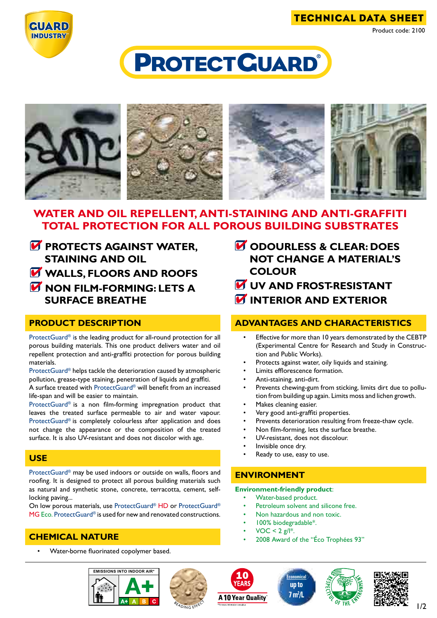

# **PROTECT GUARD®**



# **WATER AND OIL REPELLENT, ANTI-STAINING AND ANTI-GRAFFITI TOTAL PROTECTION FOR ALL POROUS BUILDING SUBSTRATES**

- **PROTECTS AGAINST WATER, staining and OIL W** WALLS, FLOORS AND ROOFS
- **non film-forming: LETS A SURFACE BREATHE**

## **product description**

ProtectGuard® is the leading product for all-round protection for all porous building materials. This one product delivers water and oil repellent protection and anti-graffiti protection for porous building materials.

ProtectGuard® helps tackle the deterioration caused by atmospheric pollution, grease-type staining, penetration of liquids and graffiti.

A surface treated with ProtectGuard® will benefit from an increased life-span and will be easier to maintain.

ProtectGuard® is a non film-forming impregnation product that leaves the treated surface permeable to air and water vapour. ProtectGuard® is completely colourless after application and does not change the appearance or the composition of the treated surface. It is also UV-resistant and does not discolor with age.

#### **use**

ProtectGuard® may be used indoors or outside on walls, floors and roofing. It is designed to protect all porous building materials such as natural and synthetic stone, concrete, terracotta, cement, selflocking paving...

On low porous materials, use ProtectGuard® HD or ProtectGuard® MG Eco. ProtectGuard® is used for new and renovated constructions.

## **chemical nature**

Water-borne fluorinated copolymer based.







- **M** UV AND FROST-RESISTANT
- **INTERIOR AND EXTERIOR**

## **advantages and characteristics**

- Effective for more than 10 years demonstrated by the CEBTP (Experimental Centre for Research and Study in Construction and Public Works).
- Protects against water, oily liquids and staining.
- Limits efflorescence formation.
- Anti-staining, anti-dirt.
- Prevents chewing-gum from sticking, limits dirt due to pollution from building up again. Limits moss and lichen growth.
- Makes cleaning easier.
- Very good anti-graffiti properties.
- Prevents deterioration resulting from freeze-thaw cycle.
- Non film-forming, lets the surface breathe.
- UV-resistant, does not discolour.
- Invisible once dry.
- Ready to use, easy to use.

# **environment**

**Environment-friendly product**:

- Water-based product.
- Petroleum solvent and silicone free.
- Non hazardous and non toxic.
- 100% biodegradable\*.
- $VOC < 2 g/l^*$ .
	- 2008 Award of the "Éco Trophées 93"